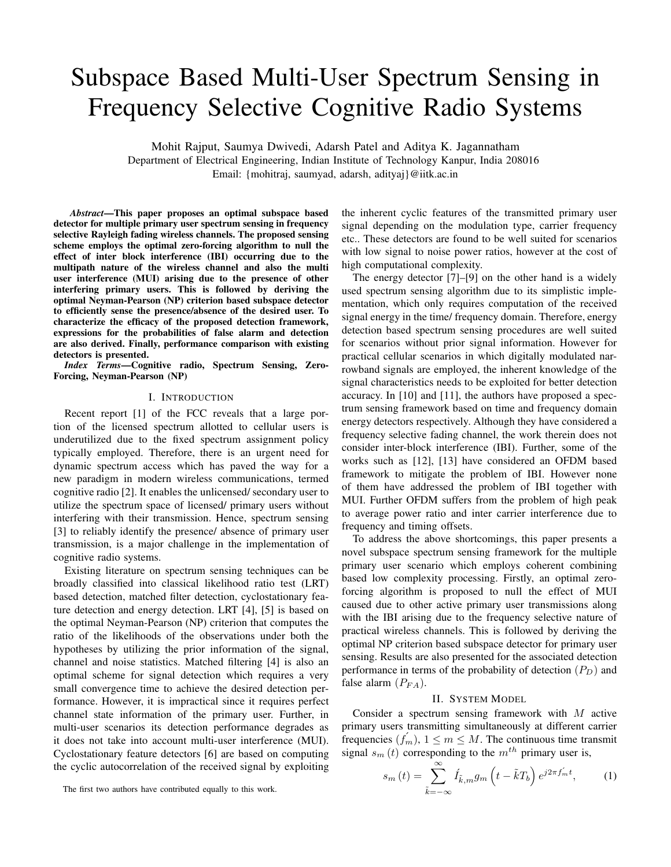# Subspace Based Multi-User Spectrum Sensing in Frequency Selective Cognitive Radio Systems

Mohit Rajput, Saumya Dwivedi, Adarsh Patel and Aditya K. Jagannatham Department of Electrical Engineering, Indian Institute of Technology Kanpur, India 208016 Email: {mohitraj, saumyad, adarsh, adityaj}@iitk.ac.in

*Abstract***—This paper proposes an optimal subspace based detector for multiple primary user spectrum sensing in frequency selective Rayleigh fading wireless channels. The proposed sensing scheme employs the optimal zero-forcing algorithm to null the effect of inter block interference (IBI) occurring due to the multipath nature of the wireless channel and also the multi user interference (MUI) arising due to the presence of other interfering primary users. This is followed by deriving the optimal Neyman-Pearson (NP) criterion based subspace detector to efficiently sense the presence/absence of the desired user. To characterize the efficacy of the proposed detection framework, expressions for the probabilities of false alarm and detection are also derived. Finally, performance comparison with existing detectors is presented.**

*Index Terms***—Cognitive radio, Spectrum Sensing, Zero-Forcing, Neyman-Pearson (NP)**

#### I. INTRODUCTION

Recent report [1] of the FCC reveals that a large portion of the licensed spectrum allotted to cellular users is underutilized due to the fixed spectrum assignment policy typically employed. Therefore, there is an urgent need for dynamic spectrum access which has paved the way for a new paradigm in modern wireless communications, termed cognitive radio [2]. It enables the unlicensed/ secondary user to utilize the spectrum space of licensed/ primary users without interfering with their transmission. Hence, spectrum sensing [3] to reliably identify the presence/ absence of primary user transmission, is a major challenge in the implementation of cognitive radio systems.

Existing literature on spectrum sensing techniques can be broadly classified into classical likelihood ratio test (LRT) based detection, matched filter detection, cyclostationary feature detection and energy detection. LRT [4], [5] is based on the optimal Neyman-Pearson (NP) criterion that computes the ratio of the likelihoods of the observations under both the hypotheses by utilizing the prior information of the signal, channel and noise statistics. Matched filtering [4] is also an optimal scheme for signal detection which requires a very small convergence time to achieve the desired detection performance. However, it is impractical since it requires perfect channel state information of the primary user. Further, in multi-user scenarios its detection performance degrades as it does not take into account multi-user interference (MUI). Cyclostationary feature detectors [6] are based on computing the cyclic autocorrelation of the received signal by exploiting the inherent cyclic features of the transmitted primary user signal depending on the modulation type, carrier frequency etc.. These detectors are found to be well suited for scenarios with low signal to noise power ratios, however at the cost of high computational complexity.

The energy detector [7]–[9] on the other hand is a widely used spectrum sensing algorithm due to its simplistic implementation, which only requires computation of the received signal energy in the time/ frequency domain. Therefore, energy detection based spectrum sensing procedures are well suited for scenarios without prior signal information. However for practical cellular scenarios in which digitally modulated narrowband signals are employed, the inherent knowledge of the signal characteristics needs to be exploited for better detection accuracy. In [10] and [11], the authors have proposed a spectrum sensing framework based on time and frequency domain energy detectors respectively. Although they have considered a frequency selective fading channel, the work therein does not consider inter-block interference (IBI). Further, some of the works such as [12], [13] have considered an OFDM based framework to mitigate the problem of IBI. However none of them have addressed the problem of IBI together with MUI. Further OFDM suffers from the problem of high peak to average power ratio and inter carrier interference due to frequency and timing offsets.

To address the above shortcomings, this paper presents a novel subspace spectrum sensing framework for the multiple primary user scenario which employs coherent combining based low complexity processing. Firstly, an optimal zeroforcing algorithm is proposed to null the effect of MUI caused due to other active primary user transmissions along with the IBI arising due to the frequency selective nature of practical wireless channels. This is followed by deriving the optimal NP criterion based subspace detector for primary user sensing. Results are also presented for the associated detection performance in terms of the probability of detection  $(P_D)$  and false alarm  $(P_{FA})$ .

## II. SYSTEM MODEL

Consider a spectrum sensing framework with M active primary users transmitting simultaneously at different carrier frequencies  $(f_m)$ ,  $1 \le m \le M$ . The continuous time transmit signal  $s_m(t)$  corresponding to the  $m^{th}$  primary user is,

$$
s_m(t) = \sum_{\tilde{k}=-\infty}^{\infty} \acute{I}_{\tilde{k},m} g_m\left(t - \tilde{k}T_b\right) e^{j2\pi f_m' t},\qquad(1)
$$

The first two authors have contributed equally to this work.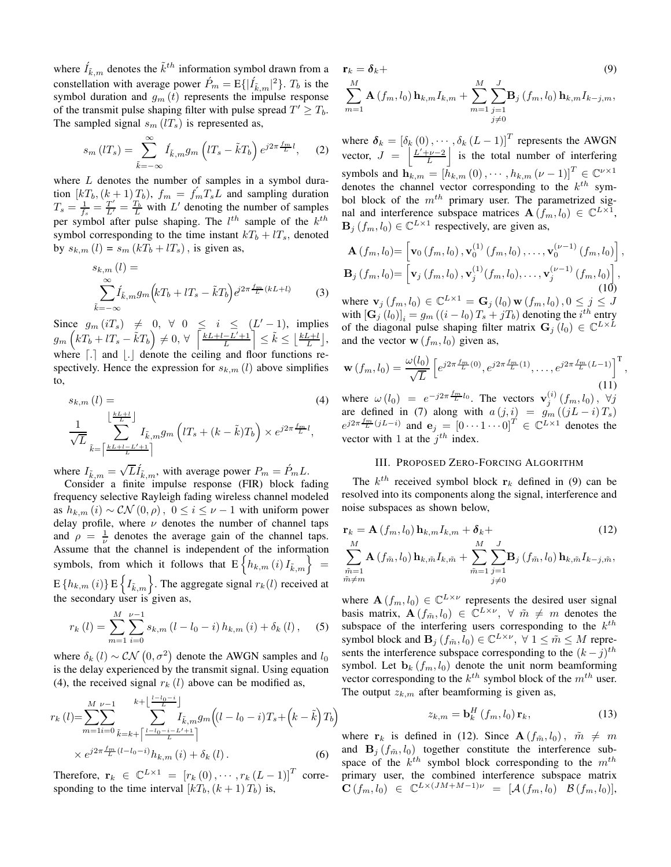where  $\hat{I}_{\tilde{k},m}$  denotes the  $\tilde{k}^{th}$  information symbol drawn from a constellation with average power  $\hat{P}_m = \mathbb{E}\{|\hat{I}_{\tilde{k},m}|^2\}$ .  $T_b$  is the symbol duration and  $g_m(t)$  represents the impulse response of the transmit pulse shaping filter with pulse spread  $T' \geq T_b$ . The sampled signal  $s_m$  (*lT<sub>s</sub>*) is represented as,

$$
s_m\left(T_s\right) = \sum_{\tilde{k}=-\infty}^{\infty} \acute{I}_{\tilde{k},m} g_m\left(T_s - \tilde{k}T_b\right) e^{j2\pi \frac{fm}{L}l},\quad (2)
$$

where  $L$  denotes the number of samples in a symbol duration  $[kT_b,(k+1)T_b)$ ,  $f_m = f_mT_sL$  and sampling duration  $T_s = \frac{1}{f_s} = \frac{T'}{L'} = \frac{T_b}{L}$  with L' denoting the number of samples per symbol after pulse shaping. The  $l^{th}$  sample of the  $k^{th}$ symbol corresponding to the time instant  $kT_b + lT_s$ , denoted by  $s_{k,m}$  (l) =  $s_m$  (kT<sub>b</sub> + lT<sub>s</sub>), is given as,

$$
s_{k,m}(l) = \sum_{\substack{\infty \\ \tilde{k}=-\infty}}^{\infty} \hat{I}_{\tilde{k},m} g_m \left( kT_b + lT_s - \tilde{k}T_b \right) e^{j2\pi \frac{fm}{L} (kL + l)} \tag{3}
$$

Since  $g_m(iT_s) \neq 0, \forall 0 \leq i \leq (L'-1)$ , implies  $g_m\left(kT_b + lT_s - \tilde{k}T_b\right) \neq 0, \forall \left[\frac{kL+l-L'+1}{L}\right] \leq \tilde{k} \leq \left\lfloor \frac{kL+l}{L} \right\rfloor,$ where  $\lceil . \rceil$  and  $\lfloor . \rfloor$  denote the ceiling and floor functions respectively. Hence the expression for  $s_{k,m}(l)$  above simplifies to,

$$
s_{k,m}(l) = \n\frac{\left\lfloor \frac{kL+l}{L} \right\rfloor}{\sqrt{L}} I_{\tilde{k},m} g_m \left( lT_s + (k - \tilde{k}) T_b \right) \times e^{j2\pi \frac{fm}{L} l},
$$
\n
$$
\frac{1}{\sqrt{L}} \sum_{\tilde{k} = \left\lceil \frac{kL+l-L'+1}{L} \right\rceil} (4)
$$

where  $I_{\tilde{k},m} = \sqrt{L} \tilde{I}_{\tilde{k},m}$ , with average power  $P_m = \acute{P}_m L$ .

Consider a finite impulse response (FIR) block fading frequency selective Rayleigh fading wireless channel modeled as  $h_{k,m}(i) \sim \mathcal{CN}(0,\rho)$ ,  $0 \leq i \leq \nu - 1$  with uniform power delay profile, where  $\nu$  denotes the number of channel taps and  $\rho = \frac{1}{\nu}$  denotes the average gain of the channel taps. Assume that the channel is independent of the information symbols, from which it follows that  $E\left\{h_{k,m}\left(i\right)I_{\tilde{k},m}\right\}$  =  $E\{h_{k,m}(i)\}$   $E\left\{I_{\tilde{k},m}\right\}$ . The aggregate signal  $r_k(l)$  received at the secondary user is given as,

$$
r_{k}(l) = \sum_{m=1}^{M} \sum_{i=0}^{\nu-1} s_{k,m} (l - l_{0} - i) h_{k,m}(i) + \delta_{k}(l), \quad (5)
$$

where  $\delta_k$  (*l*) ~  $CN(0, \sigma^2)$  denote the AWGN samples and  $l_0$ is the delay experienced by the transmit signal. Using equation (4), the received signal  $r_k$  (*l*) above can be modified as,

$$
r_{k}(l) = \sum_{m=1}^{M} \sum_{i=0}^{\nu-1} \sum_{\tilde{k}=k+\lceil \frac{l-l_{0}-i}{L} \rceil}^{k+\lfloor \frac{l-l_{0}-i}{L} \rfloor} I_{\tilde{k},m} g_{m} \Big( (l-l_{0}-i) T_{s} + (k-\tilde{k}) T_{b} \Big) \times e^{j2\pi \frac{fm}{L} (l-l_{0}-i)} h_{k,m} \left( i \right) + \delta_{k}(l).
$$
 (6)

Therefore,  $\mathbf{r}_k \in \mathbb{C}^{L \times 1} = [r_k(0), \cdots, r_k(L-1)]^T$  corresponding to the time interval  $[kT_b,(k+1)T_b)$  is,

$$
\mathbf{r}_{k} = \delta_{k} + \tag{9}
$$
\n
$$
\sum_{m=1}^{M} \mathbf{A} \left( f_{m}, l_{0} \right) \mathbf{h}_{k, m} I_{k, m} + \sum_{m=1}^{M} \sum_{\substack{j=1 \ j \neq 0}}^{J} \mathbf{B}_{j} \left( f_{m}, l_{0} \right) \mathbf{h}_{k, m} I_{k-j, m},
$$

where  $\boldsymbol{\delta}_k = \left[\delta_k(0), \cdots, \delta_k(L-1)\right]^T$  represents the AWGN vector,  $J = \left| \frac{L' + \nu - 2}{L} \right|$  is the total number of interfering symbols and  $\mathbf{h}_{k,m} = [\tilde{h}_{k,m}(0), \cdots, h_{k,m}(v-1)]^T \in \mathbb{C}^{\nu \times 1}$ denotes the channel vector corresponding to the  $k^{th}$  symbol block of the  $m^{th}$  primary user. The parametrized signal and interference subspace matrices  $\mathbf{A}(f_m, l_0) \in \mathbb{C}^{L \times 1}$ ,  $\mathbf{B}_j(f_m, l_0) \in \mathbb{C}^{L \times 1}$  respectively, are given as,

$$
\mathbf{A}(f_m, l_0) = \left[ \mathbf{v}_0(f_m, l_0), \mathbf{v}_0^{(1)}(f_m, l_0), \dots, \mathbf{v}_0^{(\nu-1)}(f_m, l_0) \right],
$$
  
\n
$$
\mathbf{B}_j(f_m, l_0) = \left[ \mathbf{v}_j(f_m, l_0), \mathbf{v}_j^{(1)}(f_m, l_0), \dots, \mathbf{v}_j^{(\nu-1)}(f_m, l_0) \right],
$$
  
\n(10)  
\nwhere  $\mathbf{v}_j(f_{m-1}) \in \mathbb{C}^{L \times 1} = \mathbf{G}_j(l_0) \mathbf{w}(f_{m-1}) \quad 0 \le j \le L$ 

where  $\mathbf{v}_j(f_m, l_0) \in \mathbb{C}^{L \times 1} = \mathbf{G}_j(l_0) \mathbf{w}(f_m, l_0), 0 \leq j \leq J$ with  $\left[\mathbf{G}_j\left(l_0\right)\right]_i = g_m\left(\left(i - l_0\right)T_s + jT_b\right)$  denoting the  $i^{th}$  entry of the diagonal pulse shaping filter matrix  $\mathbf{G}_j(l_0) \in \mathbb{C}^{L \times L}$ and the vector  $\mathbf{w} (f_m, l_0)$  given as,

$$
\mathbf{w}\left(f_m, l_0\right) = \frac{\omega(l_0)}{\sqrt{L}} \left[ e^{j2\pi \frac{f_m}{L}(0)}, e^{j2\pi \frac{f_m}{L}(1)}, \dots, e^{j2\pi \frac{f_m}{L}(L-1)} \right]^{\mathrm{T}},\tag{11}
$$

where  $\omega(l_0) = e^{-j2\pi \frac{fm}{L}l_0}$ . The vectors  $\mathbf{v}_j^{(i)}(f_m, l_0)$ ,  $\forall j$ are defined in (7) along with  $a(j, i) = g_m((jL - i)T_s)$  $e^{j2\pi \frac{fm}{L}(jL-i)}$  and  $\mathbf{e}_j = \begin{bmatrix} 0 & \cdots & 1 & \cdots & 0 \end{bmatrix}^T \in \mathbb{C}^{L\times 1}$  denotes the vector with 1 at the  $j^{th}$  index.

## III. PROPOSED ZERO-FORCING ALGORITHM

The  $k^{th}$  received symbol block  $r_k$  defined in (9) can be resolved into its components along the signal, interference and noise subspaces as shown below,

$$
\mathbf{r}_{k} = \mathbf{A} (f_{m}, l_{0}) \mathbf{h}_{k,m} I_{k,m} + \delta_{k} + (12) \n\sum_{\substack{m=1 \ n \in \mathbb{N} \\ m \neq m}}^{M} \mathbf{A} (f_{\tilde{m}}, l_{0}) \mathbf{h}_{k,\tilde{m}} I_{k,\tilde{m}} + \sum_{\substack{m=1 \ j \neq 0}}^{M} \sum_{j=1}^{J} \mathbf{B}_{j} (f_{\tilde{m}}, l_{0}) \mathbf{h}_{k,\tilde{m}} I_{k-j,\tilde{m}},
$$
\n(12)

where  $\mathbf{A}(f_m, l_0) \in \mathbb{C}^{L \times \nu}$  represents the desired user signal basis matrix,  $\mathbf{A}(f_{\tilde{m}}, l_0) \in \mathbb{C}^{L \times \nu}$ ,  $\forall \tilde{m} \neq m$  denotes the subspace of the interfering users corresponding to the  $k^{th}$ symbol block and  $\mathbf{B}_j$   $(f_{\tilde{m}}, l_0) \in \mathbb{C}^{L \times \nu}$ ,  $\forall$   $1 \leq \tilde{m} \leq M$  represents the interference subspace corresponding to the  $(k - j)^{th}$ symbol. Let  $\mathbf{b}_k$  ( $f_m$ ,  $l_0$ ) denote the unit norm beamforming vector corresponding to the  $k^{th}$  symbol block of the  $m^{th}$  user. The output  $z_{k,m}$  after beamforming is given as,

$$
z_{k,m} = \mathbf{b}_k^H \left( f_m, l_0 \right) \mathbf{r}_k, \tag{13}
$$

where  $r_k$  is defined in (12). Since  $A(f_{\tilde{m}}, l_0)$ ,  $\tilde{m} \neq m$ and  $\mathbf{B}_i$  ( $f_{\tilde{m}}$ ,  $l_0$ ) together constitute the interference subspace of the  $k^{th}$  symbol block corresponding to the  $m^{th}$ primary user, the combined interference subspace matrix  $\mathbf{C}(f_m, l_0) \in \mathbb{C}^{L \times (JM+M-1)\nu} = [\mathcal{A}(f_m, l_0) \ \mathcal{B}(f_m, l_0)],$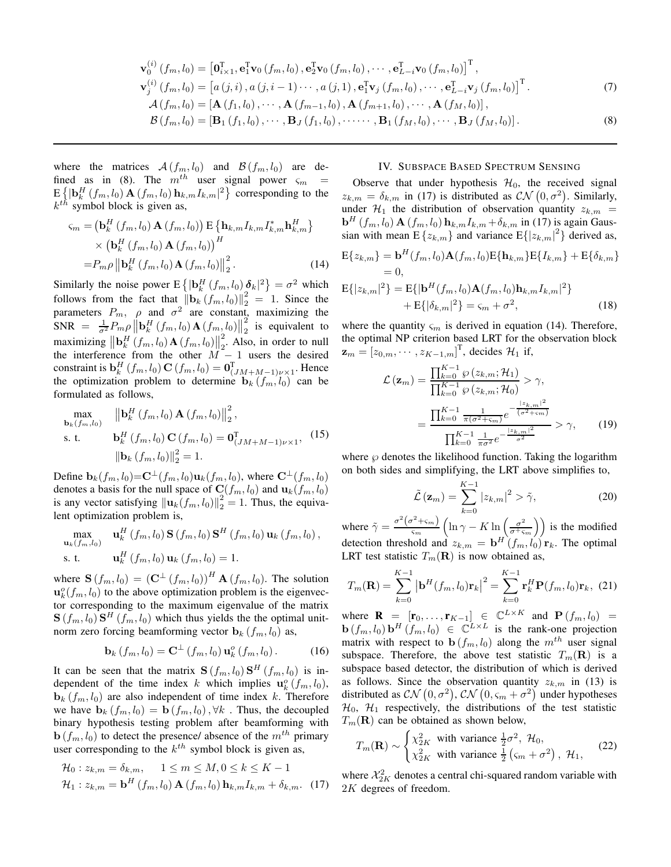$$
\mathbf{v}_{0}^{(i)}(f_{m},l_{0}) = \left[\mathbf{0}_{i\times1}^{T},\mathbf{e}_{1}^{T}\mathbf{v}_{0}(f_{m},l_{0}),\mathbf{e}_{2}^{T}\mathbf{v}_{0}(f_{m},l_{0}),\cdots,\mathbf{e}_{L-i}^{T}\mathbf{v}_{0}(f_{m},l_{0})\right]^{T},
$$
\n
$$
\mathbf{v}_{j}^{(i)}(f_{m},l_{0}) = \left[a\left(j,i\right),a\left(j,i-1\right)\cdots,a\left(j,1\right),\mathbf{e}_{1}^{T}\mathbf{v}_{j}\left(f_{m},l_{0}\right),\cdots,\mathbf{e}_{L-i}^{T}\mathbf{v}_{j}\left(f_{m},l_{0}\right)\right]^{T}.
$$
\n
$$
A\left(f_{m},l_{0}\right) = \left[\mathbf{A}\left(f_{1},l_{0}\right),\cdots,\mathbf{A}\left(f_{m-1},l_{0}\right),\mathbf{A}\left(f_{m+1},l_{0}\right),\cdots,\mathbf{A}\left(f_{M},l_{0}\right)\right],
$$
\n
$$
B\left(f_{m},l_{0}\right) = \left[\mathbf{A}\left(f_{1},l_{0}\right),\cdots,\mathbf{A}\left(f_{m-1},l_{0}\right),\mathbf{A}\left(f_{m+1},l_{0}\right),\cdots,\mathbf{A}\left(f_{M},l_{0}\right)\right],
$$
\n(7)

$$
\mathcal{B}(f_m, l_0) = [\mathbf{B}_1(f_1, l_0), \cdots, \mathbf{B}_J(f_1, l_0), \cdots, \mathbf{B}_1(f_M, l_0), \cdots, \mathbf{B}_J(f_M, l_0)].
$$
\n(8)

where the matrices  $\mathcal{A}(f_m, l_0)$  and  $\mathcal{B}(f_m, l_0)$  are defined as in (8). The  $m^{th}$  user signal power  $\varsigma_m$  $\mathbb{E}\left\{\left|\mathbf{b}_k^H(f_m, l_0) \mathbf{A}(f_m, l_0) \mathbf{h}_{k,m} I_{k,m}\right|^2\right\}$  corresponding to the  $k^{t\hat{h}}$  symbol block is given as,

$$
\begin{split} \varsigma_m &= \left(\mathbf{b}_k^H\left(f_m, l_0\right) \mathbf{A}\left(f_m, l_0\right)\right) \mathbf{E}\left\{\mathbf{h}_{k,m} I_{k,m} I_{k,m}^* \mathbf{h}_{k,m}^H\right\} \\ &\times \left(\mathbf{b}_k^H\left(f_m, l_0\right) \mathbf{A}\left(f_m, l_0\right)\right)^H \\ &= P_m \rho \left\|\mathbf{b}_k^H\left(f_m, l_0\right) \mathbf{A}\left(f_m, l_0\right)\right\|_2^2. \end{split} \tag{14}
$$

Similarly the noise power  $E\left\{|\mathbf{b}_k^H(f_m, l_0)\delta_k|^2\right\} = \sigma^2$  which follows from the fact that  $\|\mathbf{b}_k(f_m, l_0)\|_2^2 = 1$ . Since the parameters  $P_m$ ,  $\rho$  and  $\sigma^2$  are constant, maximizing the  $SNR = \frac{1}{\sigma^2} P_{m} \rho \left\| \mathbf{b}_k^H(f_m, l_0) \mathbf{A}(f_m, l_0) \right\|$ 2  $\frac{2}{2}$  is equivalent to maximizing  $\|\mathbf{b}_k^H(f_m, l_0) \mathbf{A}(f_m, l_0)\|$ 2  $\frac{2}{2}$ . Also, in order to null the interference from the other  $M - 1$  users the desired constraint is  $\mathbf{b}_k^H(f_m, l_0) \mathbf{C}(f_m, l_0) = \mathbf{0}_{(JM+M-1)\nu \times 1}^T$ . Hence the optimization problem to determine  $\mathbf{b}_k$  ( $f_m, l_0$ ) can be formulated as follows,

$$
\begin{aligned}\n\max_{\mathbf{b}_k(f_m, l_0)} \quad & \left\| \mathbf{b}_k^H(f_m, l_0) \, \mathbf{A}(f_m, l_0) \right\|_2^2, \\
\text{s. t.} \quad & \mathbf{b}_k^H(f_m, l_0) \, \mathbf{C}(f_m, l_0) = \mathbf{0}_{(JM+M-1)\nu \times 1}^T,\n\end{aligned} \tag{15}
$$
\n
$$
\left\| \mathbf{b}_k(f_m, l_0) \right\|_2^2 = 1.
$$

Define  $\mathbf{b}_k(f_m, l_0) = \mathbf{C}^{\perp}(f_m, l_0) \mathbf{u}_k(f_m, l_0)$ , where  $\mathbf{C}^{\perp}(f_m, l_0)$ denotes a basis for the null space of  $C(f_m, l_0)$  and  $\mathbf{u}_k(f_m, l_0)$ is any vector satisfying  $\|\mathbf{u}_k(f_m, l_0)\|_2^2 = 1$ . Thus, the equivalent optimization problem is,

$$
\begin{aligned}\n\max_{\mathbf{u}_{k}(f_{m},l_{0})} \quad & \mathbf{u}_{k}^{H}(f_{m},l_{0}) \mathbf{S}(f_{m},l_{0}) \mathbf{S}^{H}(f_{m},l_{0}) \mathbf{u}_{k}(f_{m},l_{0}), \\
\text{s. t.} \quad & \mathbf{u}_{k}^{H}(f_{m},l_{0}) \mathbf{u}_{k}(f_{m},l_{0}) = 1.\n\end{aligned}
$$

where  $\mathbf{S}(f_m, l_0) = (\mathbf{C}^{\perp} (f_m, l_0))^H \mathbf{A}(f_m, l_0)$ . The solution  $\mathbf{u}_k^o(f_m, l_0)$  to the above optimization problem is the eigenvector corresponding to the maximum eigenvalue of the matrix  $\mathbf{S}(f_m, l_0) \mathbf{S}^H(f_m, l_0)$  which thus yields the the optimal unitnorm zero forcing beamforming vector  $\mathbf{b}_k$  ( $f_m$ ,  $l_0$ ) as,

$$
\mathbf{b}_{k}\left(f_{m},l_{0}\right) = \mathbf{C}^{\perp}\left(f_{m},l_{0}\right) \mathbf{u}_{k}^{o}\left(f_{m},l_{0}\right). \tag{16}
$$

It can be seen that the matrix  $S(f_m, l_0) S^H(f_m, l_0)$  is independent of the time index k which implies  $\mathbf{u}_k^o(f_m, l_0)$ ,  $\mathbf{b}_k$  ( $f_m$ ,  $l_0$ ) are also independent of time index k. Therefore we have  $\mathbf{b}_k$   $(f_m, l_0) = \mathbf{b} (f_m, l_0)$ ,  $\forall k$ . Thus, the decoupled binary hypothesis testing problem after beamforming with  $\mathbf{b}(f_m, l_0)$  to detect the presence/ absence of the  $m<sup>th</sup>$  primary user corresponding to the  $k^{th}$  symbol block is given as,

$$
\mathcal{H}_0: z_{k,m} = \delta_{k,m}, \quad 1 \le m \le M, 0 \le k \le K - 1
$$
  

$$
\mathcal{H}_1: z_{k,m} = \mathbf{b}^H(f_m, l_0) \mathbf{A}(f_m, l_0) \mathbf{h}_{k,m} I_{k,m} + \delta_{k,m}. \quad (17)
$$

## IV. SUBSPACE BASED SPECTRUM SENSING

Observe that under hypothesis  $\mathcal{H}_0$ , the received signal  $z_{k,m} = \delta_{k,m}$  in (17) is distributed as  $CN(0, \sigma^2)$ . Similarly, under  $\mathcal{H}_1$  the distribution of observation quantity  $z_{k,m}$  =  $\mathbf{b}^{H}\left(f_{m},l_{0}\right) \mathbf{A}\left(f_{m},l_{0}\right) \mathbf{h}_{k,m} I_{k,m} + \delta_{k,m}$  in (17) is again Gaussian with mean  $E\{z_{k,m}\}\$  and variance  $E\{|z_{k,m}|^2\}$  derived as,

$$
E\{z_{k,m}\} = \mathbf{b}^{H}(f_{m}, l_{0})\mathbf{A}(f_{m}, l_{0})E\{\mathbf{h}_{k,m}\}E\{I_{k,m}\} + E\{\delta_{k,m}\}\n= 0,
$$
\n
$$
E\{|z_{k,m}|^{2}\} = E\{|\mathbf{b}^{H}(f_{m}, l_{0})\mathbf{A}(f_{m}, l_{0})\mathbf{h}_{k,m}I_{k,m}|^{2}\}\n+ E\{|\delta_{k,m}|^{2}\} = \varsigma_{m} + \sigma^{2},
$$
\n(18)

where the quantity  $\varsigma_m$  is derived in equation (14). Therefore, the optimal NP criterion based LRT for the observation block  $\mathbf{z}_m = \begin{bmatrix} z_{0,m}, \cdots, z_{K-1,m} \end{bmatrix}^T$ , decides  $\mathcal{H}_1$  if,

$$
\mathcal{L}\left(\mathbf{z}_{m}\right) = \frac{\prod_{k=0}^{K-1} \wp\left(z_{k,m}; \mathcal{H}_{1}\right)}{\prod_{k=0}^{K-1} \wp\left(z_{k,m}; \mathcal{H}_{0}\right)} > \gamma,
$$
\n
$$
= \frac{\prod_{k=0}^{K-1} \frac{1}{\pi(\sigma^{2}+\varsigma_{m})} e^{-\frac{|z_{k,m}|^{2}}{(\sigma^{2}+\varsigma_{m})}}}{\prod_{k=0}^{K-1} \frac{1}{\pi\sigma^{2}} e^{-\frac{|z_{k,m}|^{2}}{\sigma^{2}}} > \gamma, \qquad (19)
$$

where  $\wp$  denotes the likelihood function. Taking the logarithm on both sides and simplifying, the LRT above simplifies to,

$$
\tilde{\mathcal{L}}\left(\mathbf{z}_{m}\right) = \sum_{k=0}^{K-1} |z_{k,m}|^2 > \tilde{\gamma},\tag{20}
$$

where  $\tilde{\gamma} = \frac{\sigma^2(\sigma^2 + \varsigma_m)}{\varsigma_m}$  $\frac{\sigma^2 + \varsigma_m}{\varsigma_m} \left( \ln \gamma - K \ln \left( \frac{\sigma^2}{\sigma^+ \varsigma} \right) \right)$  $\left(\frac{\sigma^2}{\sigma^2 \varsigma_m}\right)$  is the modified detection threshold and  $z_{k,m} = \mathbf{b}^H(f_m, l_0) \mathbf{r}_k$ . The optimal LRT test statistic  $T_m(\mathbf{R})$  is now obtained as,

$$
T_m(\mathbf{R}) = \sum_{k=0}^{K-1} |\mathbf{b}^H(f_m, l_0)\mathbf{r}_k|^2 = \sum_{k=0}^{K-1} \mathbf{r}_k^H \mathbf{P}(f_m, l_0)\mathbf{r}_k, (21)
$$

where  $\mathbf{R} = [\mathbf{r}_0, \dots, \mathbf{r}_{K-1}] \in \mathbb{C}^{L \times K}$  and  $\mathbf{P}(f_m, l_0) =$  $\mathbf{b}(f_m, l_0) \mathbf{b}^H(\dot{f}_m, l_0) \in \mathbb{C}^{L \times L}$  is the rank-one projection matrix with respect to  $\mathbf{b} (f_m, l_0)$  along the  $m<sup>th</sup>$  user signal subspace. Therefore, the above test statistic  $T_m(\mathbf{R})$  is a subspace based detector, the distribution of which is derived as follows. Since the observation quantity  $z_{k,m}$  in (13) is distributed as  $\mathcal{CN}\left(0, \sigma^2\right)$ ,  $\mathcal{CN}\left(0, \varsigma_m + \sigma^2\right)$  under hypotheses  $\mathcal{H}_0$ ,  $\mathcal{H}_1$  respectively, the distributions of the test statistic  $T_m(\mathbf{R})$  can be obtained as shown below,

$$
T_m(\mathbf{R}) \sim \begin{cases} \chi_{2K}^2 & \text{with variance } \frac{1}{2}\sigma^2, \ \mathcal{H}_0, \\ \chi_{2K}^2 & \text{with variance } \frac{1}{2} \left( \varsigma_m + \sigma^2 \right), \ \mathcal{H}_1, \end{cases} \tag{22}
$$

where  $\mathcal{X}_{2K}^2$  denotes a central chi-squared random variable with 2K degrees of freedom.